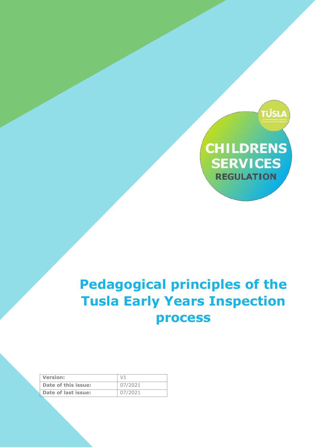

# **Pedagogical principles of the Tusla Early Years Inspection process**

| <b>Version:</b>     |         |
|---------------------|---------|
| Date of this issue: | 07/2021 |
| Date of last issue: | 07/2021 |

EYI – Documentation for OECD July 2021 Page **1** of **5**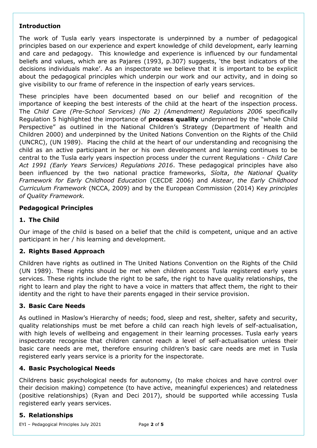## **Introduction**

The work of Tusla early years inspectorate is underpinned by a number of pedagogical principles based on our experience and expert knowledge of child development, early learning and care and pedagogy. This knowledge and experience is influenced by our fundamental beliefs and values, which are as Pajares (1993, p.307) suggests, 'the best indicators of the decisions individuals make'. As an inspectorate we believe that it is important to be explicit about the pedagogical principles which underpin our work and our activity, and in doing so give visibility to our frame of reference in the inspection of early years services.

These principles have been documented based on our belief and recognition of the importance of keeping the best interests of the child at the heart of the inspection process. The *Child Care (Pre-School Services) (No 2) (Amendment) Regulations 2006* specifically Regulation 5 highlighted the importance of **process quality** underpinned by the "whole Child Perspective" as outlined in the National Children's Strategy (Department of Health and Children 2000) and underpinned by the United Nations Convention on the Rights of the Child (UNCRC), (UN 1989). Placing the child at the heart of our understanding and recognising the child as an active participant in her or his own development and learning continues to be central to the Tusla early years inspection process under the current Regulations - *Child Care Act 1991 (Early Years Services) Regulations 2016*. These pedagogical principles have also been influenced by the two national practice frameworks, *Síolta*, *the National Quality Framework for Early Childhood Education* (CECDE 2006) and *Aistear*, *the Early Childhood Curriculum Framework* (NCCA, 2009) and by the European Commission (2014) Key *principles of Quality Framework.*

## **Pedagogical Principles**

## **1. The Child**

Our image of the child is based on a belief that the child is competent, unique and an active participant in her / his learning and development.

## **2. Rights Based Approach**

Children have rights as outlined in The United Nations Convention on the Rights of the Child (UN 1989). These rights should be met when children access Tusla registered early years services. These rights include the right to be safe, the right to have quality relationships, the right to learn and play the right to have a voice in matters that affect them, the right to their identity and the right to have their parents engaged in their service provision.

## **3. Basic Care Needs**

As outlined in Maslow's Hierarchy of needs; food, sleep and rest, shelter, safety and security, quality relationships must be met before a child can reach high levels of self-actualisation, with high levels of wellbeing and engagement in their learning processes. Tusla early years inspectorate recognise that children cannot reach a level of self-actualisation unless their basic care needs are met, therefore ensuring children's basic care needs are met in Tusla registered early years service is a priority for the inspectorate.

## **4. Basic Psychological Needs**

Childrens basic psychological needs for autonomy, (to make choices and have control over their decision making) competence (to have active, meaningful experiences) and relatedness (positive relationships) (Ryan and Deci 2017), should be supported while accessing Tusla registered early years services.

## **5. Relationships**

EYI – Pedagogical Principles July 2021 Page **2** of **5**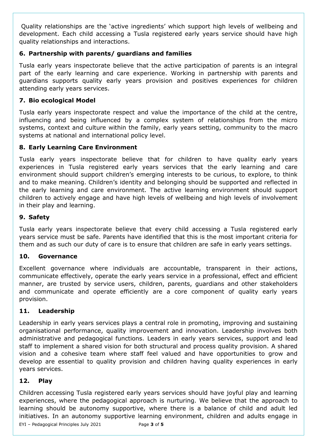Quality relationships are the 'active ingredients' which support high levels of wellbeing and development. Each child accessing a Tusla registered early years service should have high quality relationships and interactions.

## **6. Partnership with parents/ guardians and families**

Tusla early years inspectorate believe that the active participation of parents is an integral part of the early learning and care experience. Working in partnership with parents and guardians supports quality early years provision and positives experiences for children attending early years services.

## **7. Bio ecological Model**

Tusla early years inspectorate respect and value the importance of the child at the centre, influencing and being influenced by a complex system of relationships from the micro systems, context and culture within the family, early years setting, community to the macro systems at national and international policy level.

## **8. Early Learning Care Environment**

Tusla early years inspectorate believe that for children to have quality early years experiences in Tusla registered early years services that the early learning and care environment should support children's emerging interests to be curious, to explore, to think and to make meaning. Children's identity and belonging should be supported and reflected in the early learning and care environment. The active learning environment should support children to actively engage and have high levels of wellbeing and high levels of involvement in their play and learning.

## **9. Safety**

Tusla early years inspectorate believe that every child accessing a Tusla registered early years service must be safe. Parents have identified that this is the most important criteria for them and as such our duty of care is to ensure that children are safe in early years settings.

## **10. Governance**

Excellent governance where individuals are accountable, transparent in their actions, communicate effectively, operate the early years service in a professional, effect and efficient manner, are trusted by service users, children, parents, guardians and other stakeholders and communicate and operate efficiently are a core component of quality early years provision.

## **11. Leadership**

Leadership in early years services plays a central role in promoting, improving and sustaining organisational performance, quality improvement and innovation. Leadership involves both administrative and pedagogical functions. Leaders in early years services, support and lead staff to implement a shared vision for both structural and process quality provision. A shared vision and a cohesive team where staff feel valued and have opportunities to grow and develop are essential to quality provision and children having quality experiences in early years services.

## **12. Play**

Children accessing Tusla registered early years services should have joyful play and learning experiences, where the pedagogical approach is nurturing. We believe that the approach to learning should be autonomy supportive, where there is a balance of child and adult led initiatives. In an autonomy supportive learning environment, children and adults engage in